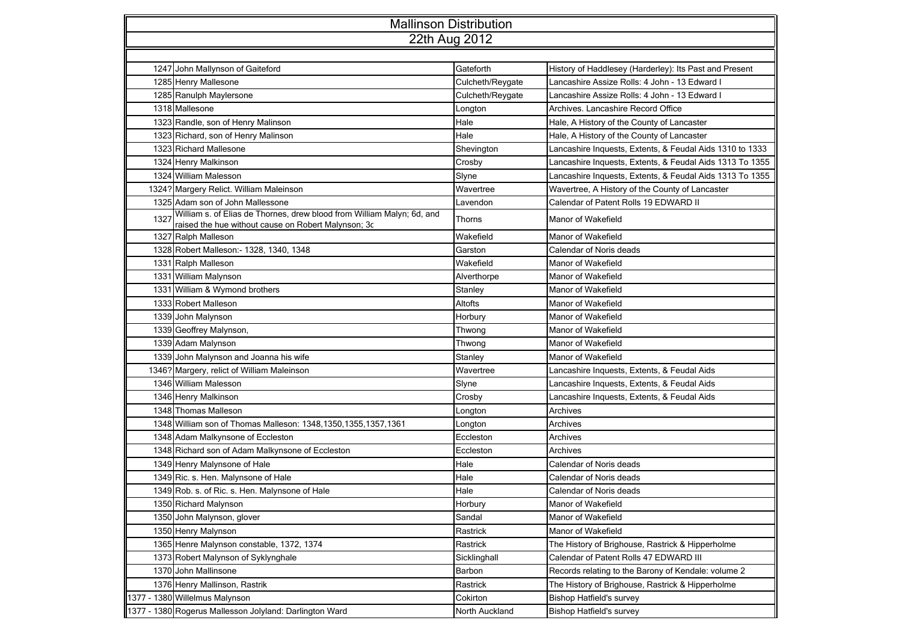| <b>Mallinson Distribution</b> |                                                                                                                               |                  |                                                          |  |  |  |  |
|-------------------------------|-------------------------------------------------------------------------------------------------------------------------------|------------------|----------------------------------------------------------|--|--|--|--|
| 22th Aug 2012                 |                                                                                                                               |                  |                                                          |  |  |  |  |
|                               |                                                                                                                               |                  |                                                          |  |  |  |  |
|                               | 1247 John Mallynson of Gaiteford                                                                                              | Gateforth        | History of Haddlesey (Harderley): Its Past and Present   |  |  |  |  |
|                               | 1285 Henry Mallesone                                                                                                          | Culcheth/Reygate | Lancashire Assize Rolls: 4 John - 13 Edward I            |  |  |  |  |
|                               | 1285 Ranulph Maylersone                                                                                                       | Culcheth/Reygate | Lancashire Assize Rolls: 4 John - 13 Edward I            |  |  |  |  |
|                               | 1318 Mallesone                                                                                                                | Longton          | Archives. Lancashire Record Office                       |  |  |  |  |
|                               | 1323 Randle, son of Henry Malinson                                                                                            | Hale             | Hale, A History of the County of Lancaster               |  |  |  |  |
|                               | 1323 Richard, son of Henry Malinson                                                                                           | Hale             | Hale, A History of the County of Lancaster               |  |  |  |  |
|                               | 1323 Richard Mallesone                                                                                                        | Shevington       | Lancashire Inquests, Extents, & Feudal Aids 1310 to 1333 |  |  |  |  |
|                               | 1324 Henry Malkinson                                                                                                          | Crosby           | Lancashire Inquests, Extents, & Feudal Aids 1313 To 1355 |  |  |  |  |
|                               | 1324 William Malesson                                                                                                         | Slyne            | Lancashire Inquests, Extents, & Feudal Aids 1313 To 1355 |  |  |  |  |
|                               | 1324? Margery Relict. William Maleinson                                                                                       | Wavertree        | Wavertree, A History of the County of Lancaster          |  |  |  |  |
|                               | 1325 Adam son of John Mallessone                                                                                              | Lavendon         | Calendar of Patent Rolls 19 EDWARD II                    |  |  |  |  |
| 1327                          | William s. of Elias de Thornes, drew blood from William Malyn; 6d, and<br>raised the hue without cause on Robert Malynson; 3c | Thorns           | Manor of Wakefield                                       |  |  |  |  |
|                               | 1327 Ralph Malleson                                                                                                           | Wakefield        | Manor of Wakefield                                       |  |  |  |  |
|                               | 1328 Robert Malleson: - 1328, 1340, 1348                                                                                      | Garston          | Calendar of Noris deads                                  |  |  |  |  |
|                               | 1331 Ralph Malleson                                                                                                           | Wakefield        | Manor of Wakefield                                       |  |  |  |  |
|                               | 1331 William Malynson                                                                                                         | Alverthorpe      | Manor of Wakefield                                       |  |  |  |  |
|                               | 1331 William & Wymond brothers                                                                                                | Stanley          | Manor of Wakefield                                       |  |  |  |  |
|                               | 1333 Robert Malleson                                                                                                          | Altofts          | Manor of Wakefield                                       |  |  |  |  |
|                               | 1339 John Malynson                                                                                                            | Horbury          | Manor of Wakefield                                       |  |  |  |  |
|                               | 1339 Geoffrey Malynson,                                                                                                       | Thwong           | Manor of Wakefield                                       |  |  |  |  |
|                               | 1339 Adam Malynson                                                                                                            | Thwong           | <b>Manor of Wakefield</b>                                |  |  |  |  |
|                               | 1339 John Malynson and Joanna his wife                                                                                        | Stanley          | <b>Manor of Wakefield</b>                                |  |  |  |  |
|                               | 1346? Margery, relict of William Maleinson                                                                                    | Wavertree        | Lancashire Inquests, Extents, & Feudal Aids              |  |  |  |  |
|                               | 1346 William Malesson                                                                                                         | Slyne            | Lancashire Inquests, Extents, & Feudal Aids              |  |  |  |  |
|                               | 1346 Henry Malkinson                                                                                                          | Crosby           | Lancashire Inquests, Extents, & Feudal Aids              |  |  |  |  |
|                               | 1348 Thomas Malleson                                                                                                          | Longton          | Archives                                                 |  |  |  |  |
|                               | 1348 William son of Thomas Malleson: 1348, 1350, 1355, 1357, 1361                                                             | Longton          | Archives                                                 |  |  |  |  |
|                               | 1348 Adam Malkynsone of Eccleston                                                                                             | Eccleston        | <b>Archives</b>                                          |  |  |  |  |
|                               | 1348 Richard son of Adam Malkynsone of Eccleston                                                                              | Eccleston        | Archives                                                 |  |  |  |  |
|                               | 1349 Henry Malynsone of Hale                                                                                                  | Hale             | Calendar of Noris deads                                  |  |  |  |  |
|                               | 1349 Ric. s. Hen. Malynsone of Hale                                                                                           | Hale             | Calendar of Noris deads                                  |  |  |  |  |
|                               | 1349 Rob. s. of Ric. s. Hen. Malynsone of Hale                                                                                | Hale             | Calendar of Noris deads                                  |  |  |  |  |
|                               | 1350 Richard Malynson                                                                                                         | Horbury          | Manor of Wakefield                                       |  |  |  |  |
|                               | 1350 John Malynson, glover                                                                                                    | Sandal           | Manor of Wakefield                                       |  |  |  |  |
|                               | 1350 Henry Malynson                                                                                                           | Rastrick         | Manor of Wakefield                                       |  |  |  |  |
|                               | 1365 Henre Malynson constable, 1372, 1374                                                                                     | Rastrick         | The History of Brighouse, Rastrick & Hipperholme         |  |  |  |  |
|                               | 1373 Robert Malynson of Syklynghale                                                                                           | Sicklinghall     | Calendar of Patent Rolls 47 EDWARD III                   |  |  |  |  |
|                               | 1370 John Mallinsone                                                                                                          | Barbon           | Records relating to the Barony of Kendale: volume 2      |  |  |  |  |
|                               | 1376 Henry Mallinson, Rastrik                                                                                                 | Rastrick         | The History of Brighouse, Rastrick & Hipperholme         |  |  |  |  |
|                               | 1377 - 1380 Willelmus Malynson                                                                                                | Cokirton         | <b>Bishop Hatfield's survey</b>                          |  |  |  |  |
|                               | 1377 - 1380 Rogerus Mallesson Jolyland: Darlington Ward                                                                       | North Auckland   | <b>Bishop Hatfield's survey</b>                          |  |  |  |  |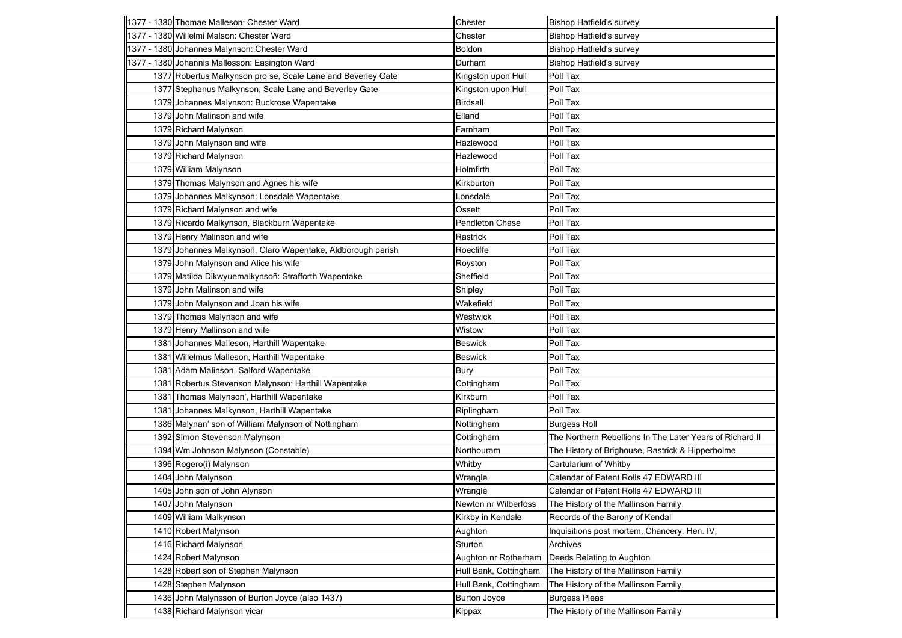|      | 1377 - 1380 Thomae Malleson: Chester Ward                    | Chester               | <b>Bishop Hatfield's survey</b>                          |
|------|--------------------------------------------------------------|-----------------------|----------------------------------------------------------|
|      | 1377 - 1380 Willelmi Malson: Chester Ward                    | Chester               | <b>Bishop Hatfield's survey</b>                          |
|      | 1377 - 1380 Johannes Malynson: Chester Ward                  | Boldon                | <b>Bishop Hatfield's survey</b>                          |
|      | 1377 - 1380 Johannis Mallesson: Easington Ward               | Durham                | <b>Bishop Hatfield's survey</b>                          |
|      | 1377 Robertus Malkynson pro se, Scale Lane and Beverley Gate | Kingston upon Hull    | Poll Tax                                                 |
|      | 1377 Stephanus Malkynson, Scale Lane and Beverley Gate       | Kingston upon Hull    | Poll Tax                                                 |
|      | 1379 Johannes Malynson: Buckrose Wapentake                   | <b>Birdsall</b>       | Poll Tax                                                 |
|      | 1379 John Malinson and wife                                  | Elland                | Poll Tax                                                 |
|      | 1379 Richard Malynson                                        | Farnham               | Poll Tax                                                 |
|      | 1379 John Malynson and wife                                  | Hazlewood             | Poll Tax                                                 |
|      | 1379 Richard Malynson                                        | Hazlewood             | Poll Tax                                                 |
|      | 1379 William Malynson                                        | Holmfirth             | Poll Tax                                                 |
|      | 1379 Thomas Malynson and Agnes his wife                      | Kirkburton            | Poll Tax                                                 |
|      | 1379 Johannes Malkynson: Lonsdale Wapentake                  | Lonsdale              | Poll Tax                                                 |
|      | 1379 Richard Malynson and wife                               | Ossett                | Poll Tax                                                 |
|      | 1379 Ricardo Malkynson, Blackburn Wapentake                  | Pendleton Chase       | Poll Tax                                                 |
|      | 1379 Henry Malinson and wife                                 | Rastrick              | Poll Tax                                                 |
|      | 1379 Johannes Malkynsoñ, Claro Wapentake, Aldborough parish  | Roecliffe             | Poll Tax                                                 |
|      | 1379 John Malynson and Alice his wife                        | Royston               | Poll Tax                                                 |
|      | 1379 Matilda Dikwyuemalkynsoñ: Strafforth Wapentake          | Sheffield             | Poll Tax                                                 |
|      | 1379 John Malinson and wife                                  | Shipley               | Poll Tax                                                 |
|      | 1379 John Malynson and Joan his wife                         | Wakefield             | Poll Tax                                                 |
|      | 1379 Thomas Malynson and wife                                | Westwick              | Poll Tax                                                 |
|      | 1379 Henry Mallinson and wife                                | Wistow                | Poll Tax                                                 |
|      | 1381 Johannes Malleson, Harthill Wapentake                   | <b>Beswick</b>        | Poll Tax                                                 |
|      | 1381 Willelmus Malleson, Harthill Wapentake                  | <b>Beswick</b>        | Poll Tax                                                 |
|      | 1381 Adam Malinson, Salford Wapentake                        | Bury                  | Poll Tax                                                 |
|      | 1381 Robertus Stevenson Malynson: Harthill Wapentake         | Cottingham            | Poll Tax                                                 |
|      | 1381 Thomas Malynson', Harthill Wapentake                    | Kirkburn              | Poll Tax                                                 |
| 1381 | Johannes Malkynson, Harthill Wapentake                       | Riplingham            | Poll Tax                                                 |
|      | 1386 Malynan' son of William Malynson of Nottingham          | Nottingham            | <b>Burgess Roll</b>                                      |
|      | 1392 Simon Stevenson Malynson                                | Cottingham            | The Northern Rebellions In The Later Years of Richard II |
|      | 1394 Wm Johnson Malynson (Constable)                         | Northouram            | The History of Brighouse, Rastrick & Hipperholme         |
|      | 1396 Rogero(i) Malynson                                      | Whitby                | Cartularium of Whitby                                    |
|      | 1404 John Malynson                                           | Wrangle               | Calendar of Patent Rolls 47 EDWARD III                   |
|      | 1405 John son of John Alynson                                | Wrangle               | Calendar of Patent Rolls 47 EDWARD III                   |
|      | 1407 John Malynson                                           | Newton nr Wilberfoss  | The History of the Mallinson Family                      |
|      | 1409 William Malkynson                                       | Kirkby in Kendale     | Records of the Barony of Kendal                          |
|      | 1410 Robert Malynson                                         | Aughton               | Inquisitions post mortem, Chancery, Hen. IV,             |
|      | 1416 Richard Malynson                                        | Sturton               | Archives                                                 |
|      | 1424 Robert Malynson                                         | Aughton nr Rotherham  | Deeds Relating to Aughton                                |
|      | 1428 Robert son of Stephen Malynson                          | Hull Bank, Cottingham | The History of the Mallinson Family                      |
|      | 1428 Stephen Malynson                                        | Hull Bank, Cottingham | The History of the Mallinson Family                      |
|      | 1436 John Malynsson of Burton Joyce (also 1437)              | <b>Burton Joyce</b>   | <b>Burgess Pleas</b>                                     |
|      | 1438 Richard Malynson vicar                                  | Kippax                | The History of the Mallinson Family                      |